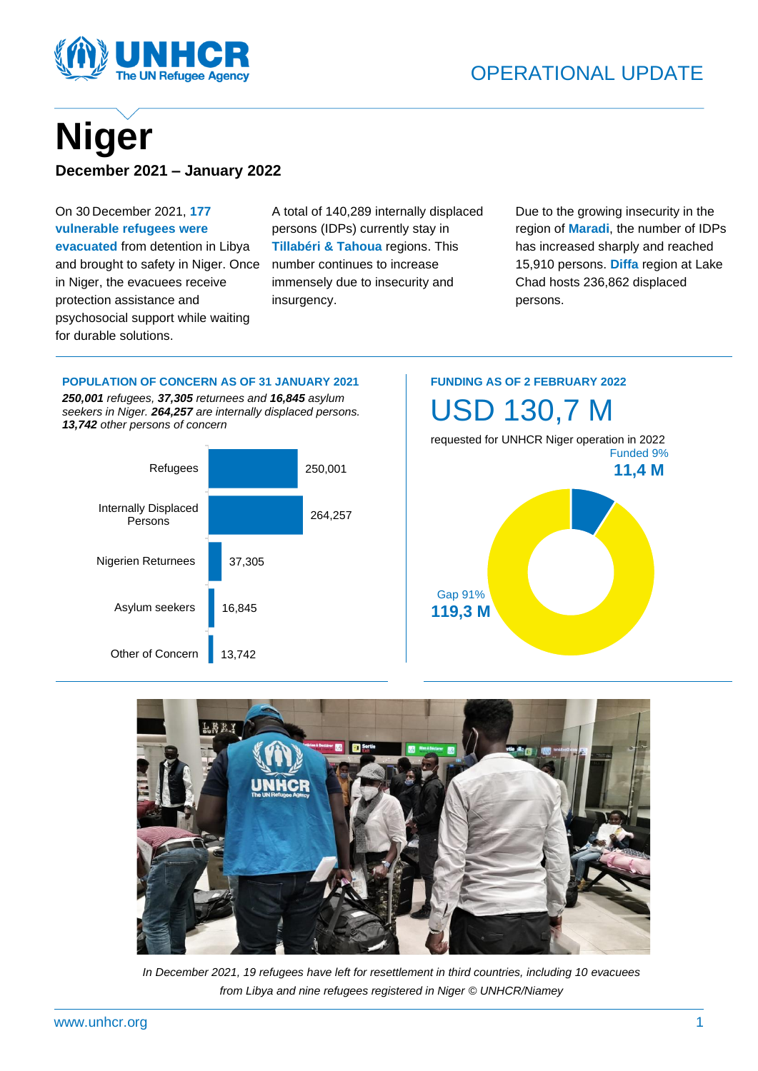

# **Niger December 2021 – January 2022**

On 30 December 2021, **177 vulnerable refugees were evacuated** from detention in Libya and brought to safety in Niger. Once in Niger, the evacuees receive protection assistance and psychosocial support while waiting for durable solutions.

A total of 140,289 internally displaced persons (IDPs) currently stay in **Tillabéri & Tahoua** regions. This number continues to increase immensely due to insecurity and insurgency.

Due to the growing insecurity in the region of **Maradi**, the number of IDPs has increased sharply and reached 15,910 persons. **Diffa** region at Lake Chad hosts 236,862 displaced persons.

#### **POPULATION OF CONCERN AS OF 31 JANUARY 2021**

*250,001 refugees, 37,305 returnees and 16,845 asylum seekers in Niger. 264,257 are internally displaced persons. 13,742 other persons of concern*



# **FUNDING AS OF 2 FEBRUARY 2022**





*In December 2021, 19 refugees have left for resettlement in third countries, including 10 evacuees from Libya and nine refugees registered in Niger © UNHCR/Niamey*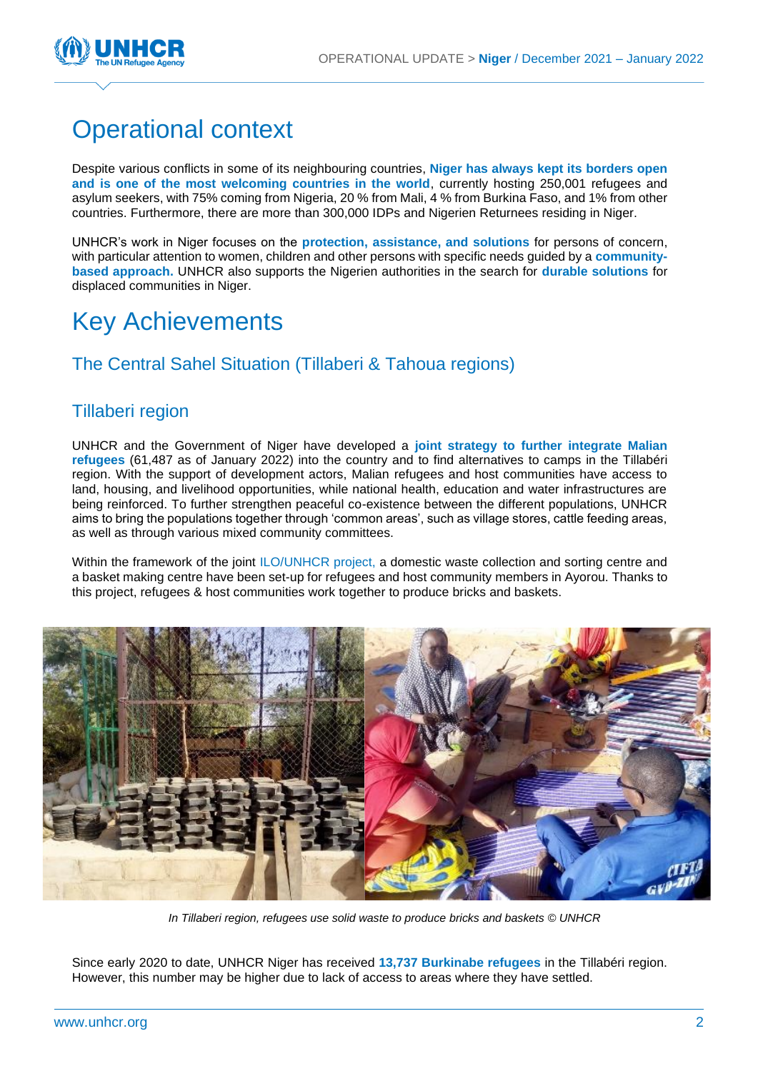

# Operational context

Despite various conflicts in some of its neighbouring countries, **Niger has always kept its borders open and is one of the most welcoming countries in the world**, currently hosting 250,001 refugees and asylum seekers, with 75% coming from Nigeria, 20 % from Mali, 4 % from Burkina Faso, and 1% from other countries. Furthermore, there are more than 300,000 IDPs and Nigerien Returnees residing in Niger.

UNHCR's work in Niger focuses on the **protection, assistance, and solutions** for persons of concern, with particular attention to women, children and other persons with specific needs guided by a **communitybased approach.** UNHCR also supports the Nigerien authorities in the search for **durable solutions** for displaced communities in Niger.

# Key Achievements

## The Central Sahel Situation (Tillaberi & Tahoua regions)

### Tillaberi region

UNHCR and the Government of Niger have developed a **joint strategy to further integrate Malian refugees** (61,487 as of January 2022) into the country and to find alternatives to camps in the Tillabéri region. With the support of development actors, Malian refugees and host communities have access to land, housing, and livelihood opportunities, while national health, education and water infrastructures are being reinforced. To further strengthen peaceful co-existence between the different populations, UNHCR aims to bring the populations together through 'common areas', such as village stores, cattle feeding areas, as well as through various mixed community committees.

Within the framework of the joint ILO/UNHCR project, a domestic waste collection and sorting centre and a basket making centre have been set-up for refugees and host community members in Ayorou. Thanks to this project, refugees & host communities work together to produce bricks and baskets.



*In Tillaberi region, refugees use solid waste to produce bricks and baskets © UNHCR*

Since early 2020 to date, UNHCR Niger has received **13,737 Burkinabe refugees** in the Tillabéri region. However, this number may be higher due to lack of access to areas where they have settled.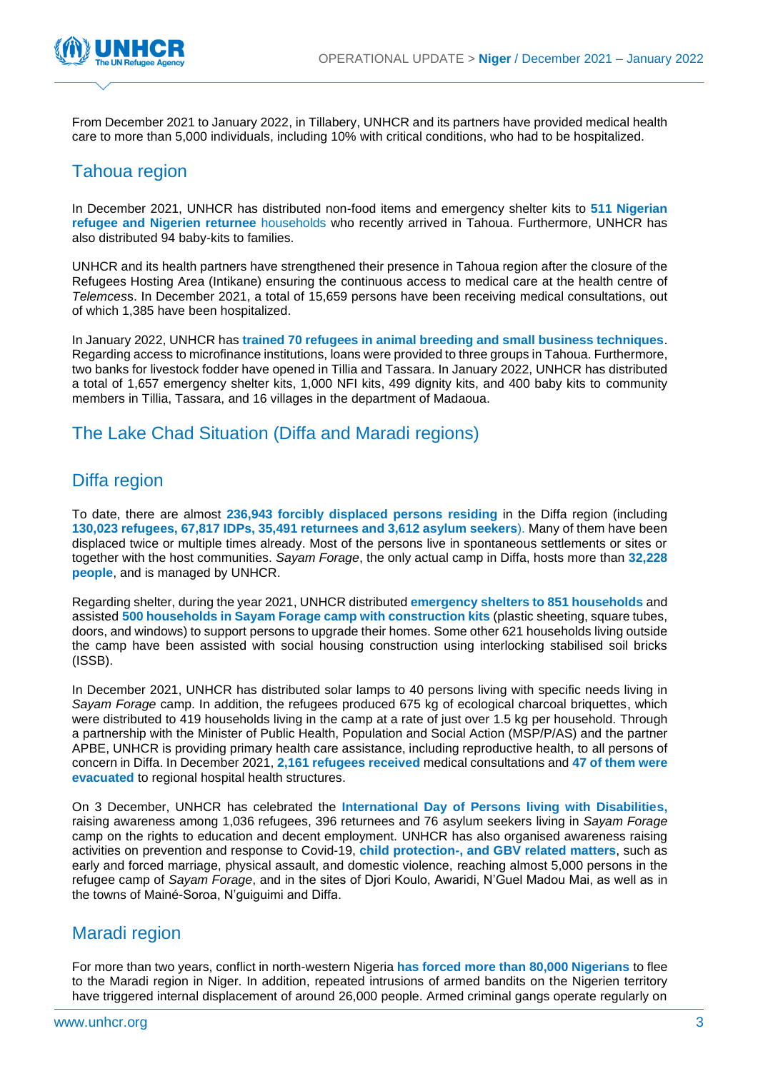

From December 2021 to January 2022, in Tillabery, UNHCR and its partners have provided medical health care to more than 5,000 individuals, including 10% with critical conditions, who had to be hospitalized.

# Tahoua region

In December 2021, UNHCR has distributed non-food items and emergency shelter kits to **511 Nigerian refugee and Nigerien returnee** households who recently arrived in Tahoua. Furthermore, UNHCR has also distributed 94 baby-kits to families.

UNHCR and its health partners have strengthened their presence in Tahoua region after the closure of the Refugees Hosting Area (Intikane) ensuring the continuous access to medical care at the health centre of *Telemces*s. In December 2021, a total of 15,659 persons have been receiving medical consultations, out of which 1,385 have been hospitalized.

In January 2022, UNHCR has **trained 70 refugees in animal breeding and small business techniques**. Regarding access to microfinance institutions, loans were provided to three groups in Tahoua. Furthermore, two banks for livestock fodder have opened in Tillia and Tassara. In January 2022, UNHCR has distributed a total of 1,657 emergency shelter kits, 1,000 NFI kits, 499 dignity kits, and 400 baby kits to community members in Tillia, Tassara, and 16 villages in the department of Madaoua.

## The Lake Chad Situation (Diffa and Maradi regions)

## Diffa region

To date, there are almost **236,943 forcibly displaced persons residing** in the Diffa region (including **130,023 refugees, 67,817 IDPs, 35,491 returnees and 3,612 asylum seekers**). Many of them have been displaced twice or multiple times already. Most of the persons live in spontaneous settlements or sites or together with the host communities. *Sayam Forage*, the only actual camp in Diffa, hosts more than **32,228 people**, and is managed by UNHCR.

Regarding shelter, during the year 2021, UNHCR distributed **emergency shelters to 851 households** and assisted **500 households in Sayam Forage camp with construction kits** (plastic sheeting, square tubes, doors, and windows) to support persons to upgrade their homes. Some other 621 households living outside the camp have been assisted with social housing construction using interlocking stabilised soil bricks (ISSB).

In December 2021, UNHCR has distributed solar lamps to 40 persons living with specific needs living in *Sayam Forage* camp. In addition, the refugees produced 675 kg of ecological charcoal briquettes, which were distributed to 419 households living in the camp at a rate of just over 1.5 kg per household. Through a partnership with the Minister of Public Health, Population and Social Action (MSP/P/AS) and the partner APBE, UNHCR is providing primary health care assistance, including reproductive health, to all persons of concern in Diffa. In December 2021, **2,161 refugees received** medical consultations and **47 of them were evacuated** to regional hospital health structures.

On 3 December, UNHCR has celebrated the **International Day of Persons living with Disabilities,**  raising awareness among 1,036 refugees, 396 returnees and 76 asylum seekers living in *Sayam Forage* camp on the rights to education and decent employment. UNHCR has also organised awareness raising activities on prevention and response to Covid-19, **child protection-, and GBV related matters**, such as early and forced marriage, physical assault, and domestic violence, reaching almost 5,000 persons in the refugee camp of *Sayam Forage*, and in the sites of Djori Koulo, Awaridi, N'Guel Madou Mai, as well as in the towns of Mainé-Soroa, N'guiguimi and Diffa.

### Maradi region

For more than two years, conflict in north-western Nigeria **has forced more than 80,000 Nigerians** to flee to the Maradi region in Niger. In addition, repeated intrusions of armed bandits on the Nigerien territory have triggered internal displacement of around 26,000 people. Armed criminal gangs operate regularly on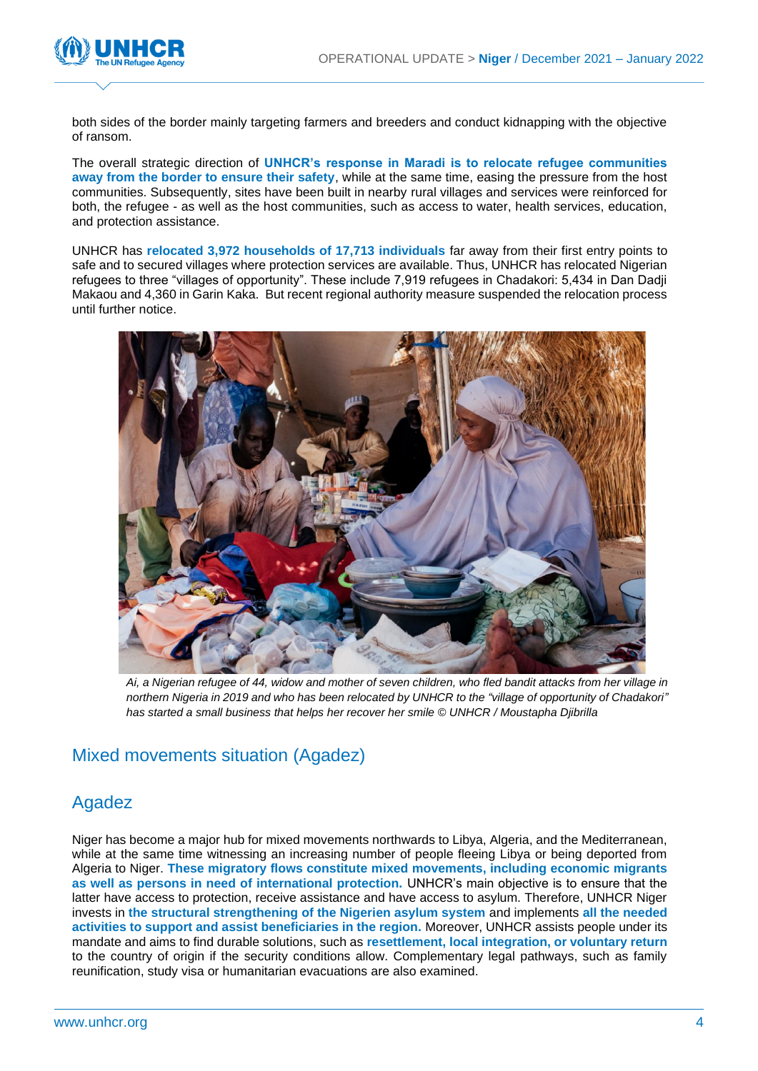

both sides of the border mainly targeting farmers and breeders and conduct kidnapping with the objective of ransom.

The overall strategic direction of **UNHCR's response in Maradi is to relocate refugee communities away from the border to ensure their safety**, while at the same time, easing the pressure from the host communities. Subsequently, sites have been built in nearby rural villages and services were reinforced for both, the refugee - as well as the host communities, such as access to water, health services, education, and protection assistance.

UNHCR has **relocated 3,972 households of 17,713 individuals** far away from their first entry points to safe and to secured villages where protection services are available. Thus, UNHCR has relocated Nigerian refugees to three "villages of opportunity". These include 7,919 refugees in Chadakori: 5,434 in Dan Dadji Makaou and 4,360 in Garin Kaka. But recent regional authority measure suspended the relocation process until further notice.



*Ai, a Nigerian refugee of 44, widow and mother of seven children, who fled bandit attacks from her village in northern Nigeria in 2019 and who has been relocated by UNHCR to the "village of opportunity of Chadakori" has started a small business that helps her recover her smile © UNHCR / Moustapha Djibrilla*

### Mixed movements situation (Agadez)

### Agadez

Niger has become a major hub for mixed movements northwards to Libya, Algeria, and the Mediterranean, while at the same time witnessing an increasing number of people fleeing Libya or being deported from Algeria to Niger. **These migratory flows constitute mixed movements, including economic migrants as well as persons in need of international protection.** UNHCR's main objective is to ensure that the latter have access to protection, receive assistance and have access to asylum. Therefore, UNHCR Niger invests in **the structural strengthening of the Nigerien asylum system** and implements **all the needed activities to support and assist beneficiaries in the region.** Moreover, UNHCR assists people under its mandate and aims to find durable solutions, such as **resettlement, local integration, or voluntary return** to the country of origin if the security conditions allow. Complementary legal pathways, such as family reunification, study visa or humanitarian evacuations are also examined.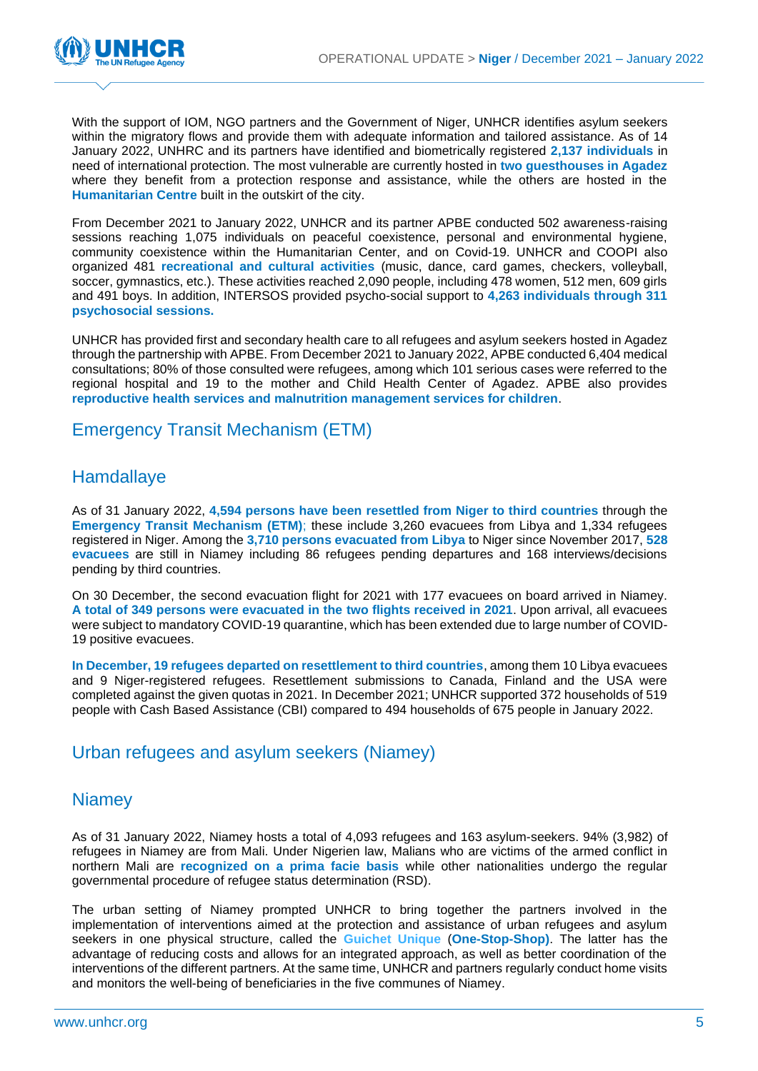![](_page_4_Picture_1.jpeg)

With the support of IOM, NGO partners and the Government of Niger, UNHCR identifies asylum seekers within the migratory flows and provide them with adequate information and tailored assistance. As of 14 January 2022, UNHRC and its partners have identified and biometrically registered **2,137 individuals** in need of international protection. The most vulnerable are currently hosted in **two guesthouses in Agadez** where they benefit from a protection response and assistance, while the others are hosted in the **Humanitarian Centre** built in the outskirt of the city.

From December 2021 to January 2022, UNHCR and its partner APBE conducted 502 awareness-raising sessions reaching 1,075 individuals on peaceful coexistence, personal and environmental hygiene, community coexistence within the Humanitarian Center, and on Covid-19. UNHCR and COOPI also organized 481 **recreational and cultural activities** (music, dance, card games, checkers, volleyball, soccer, gymnastics, etc.). These activities reached 2,090 people, including 478 women, 512 men, 609 girls and 491 boys. In addition, INTERSOS provided psycho-social support to **4,263 individuals through 311 psychosocial sessions.**

UNHCR has provided first and secondary health care to all refugees and asylum seekers hosted in Agadez through the partnership with APBE. From December 2021 to January 2022, APBE conducted 6,404 medical consultations; 80% of those consulted were refugees, among which 101 serious cases were referred to the regional hospital and 19 to the mother and Child Health Center of Agadez. APBE also provides **reproductive health services and malnutrition management services for children**.

### Emergency Transit Mechanism (ETM)

#### **Hamdallaye**

As of 31 January 2022, **4,594 persons have been resettled from Niger to third countries** through the **Emergency Transit Mechanism (ETM)**; these include 3,260 evacuees from Libya and 1,334 refugees registered in Niger. Among the **3,710 persons evacuated from Libya** to Niger since November 2017, **528 evacuees** are still in Niamey including 86 refugees pending departures and 168 interviews/decisions pending by third countries.

On 30 December, the second evacuation flight for 2021 with 177 evacuees on board arrived in Niamey. **A total of 349 persons were evacuated in the two flights received in 2021**. Upon arrival, all evacuees were subject to mandatory COVID-19 quarantine, which has been extended due to large number of COVID-19 positive evacuees.

**In December, 19 refugees departed on resettlement to third countries**, among them 10 Libya evacuees and 9 Niger-registered refugees. Resettlement submissions to Canada, Finland and the USA were completed against the given quotas in 2021. In December 2021; UNHCR supported 372 households of 519 people with Cash Based Assistance (CBI) compared to 494 households of 675 people in January 2022.

## Urban refugees and asylum seekers (Niamey)

#### **Niamey**

As of 31 January 2022, Niamey hosts a total of 4,093 refugees and 163 asylum-seekers. 94% (3,982) of refugees in Niamey are from Mali. Under Nigerien law, Malians who are victims of the armed conflict in northern Mali are **recognized on a prima facie basis** while other nationalities undergo the regular governmental procedure of refugee status determination (RSD).

The urban setting of Niamey prompted UNHCR to bring together the partners involved in the implementation of interventions aimed at the protection and assistance of urban refugees and asylum seekers in one physical structure, called the **Guichet Unique** (**One-Stop-Shop)**. The latter has the advantage of reducing costs and allows for an integrated approach, as well as better coordination of the interventions of the different partners. At the same time, UNHCR and partners regularly conduct home visits and monitors the well-being of beneficiaries in the five communes of Niamey.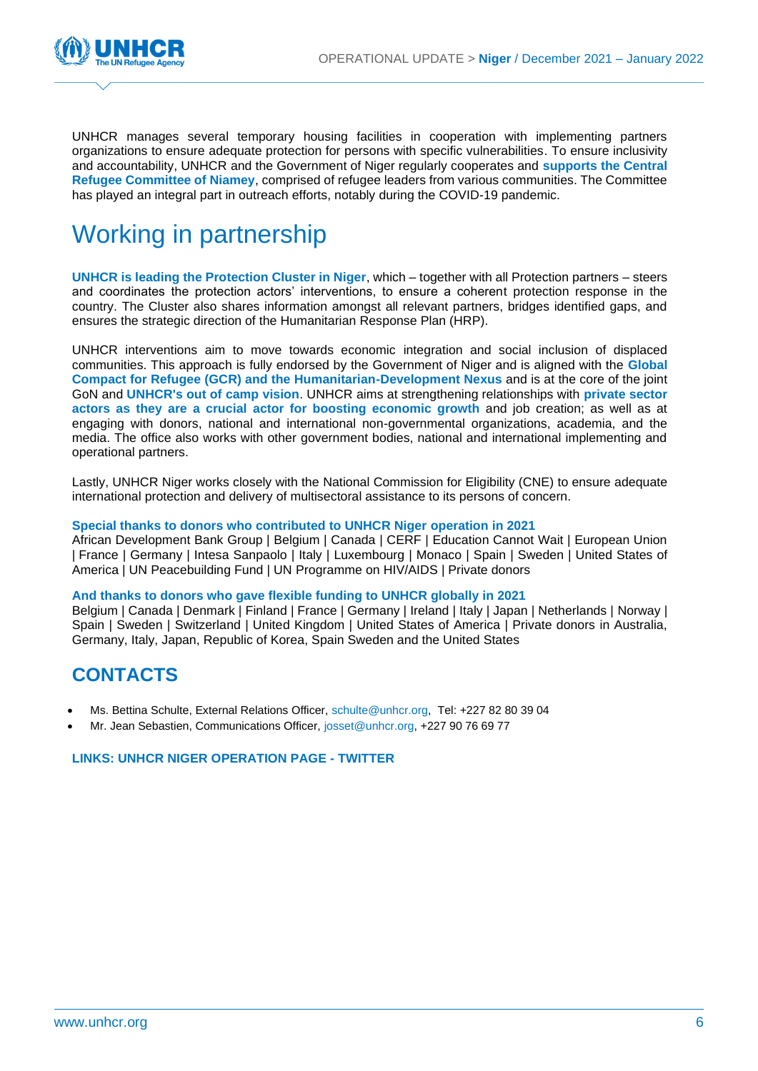![](_page_5_Picture_1.jpeg)

UNHCR manages several temporary housing facilities in cooperation with implementing partners organizations to ensure adequate protection for persons with specific vulnerabilities. To ensure inclusivity and accountability, UNHCR and the Government of Niger regularly cooperates and **supports the Central Refugee Committee of Niamey**, comprised of refugee leaders from various communities. The Committee has played an integral part in outreach efforts, notably during the COVID-19 pandemic.

# Working in partnership

**UNHCR is leading the Protection Cluster in Niger**, which – together with all Protection partners – steers and coordinates the protection actors' interventions, to ensure a coherent protection response in the country. The Cluster also shares information amongst all relevant partners, bridges identified gaps, and ensures the strategic direction of the Humanitarian Response Plan (HRP).

UNHCR interventions aim to move towards economic integration and social inclusion of displaced communities. This approach is fully endorsed by the Government of Niger and is aligned with the **Global Compact for Refugee (GCR) and the Humanitarian-Development Nexus** and is at the core of the joint GoN and **UNHCR's out of camp vision**. UNHCR aims at strengthening relationships with **private sector actors as they are a crucial actor for boosting economic growth** and job creation; as well as at engaging with donors, national and international non-governmental organizations, academia, and the media. The office also works with other government bodies, national and international implementing and operational partners.

Lastly, UNHCR Niger works closely with the National Commission for Eligibility (CNE) to ensure adequate international protection and delivery of multisectoral assistance to its persons of concern.

#### **Special thanks to donors who contributed to UNHCR Niger operation in 2021**

African Development Bank Group | Belgium | Canada | CERF | Education Cannot Wait | European Union | France | Germany | Intesa Sanpaolo | Italy | Luxembourg | Monaco | Spain | Sweden | United States of America | UN Peacebuilding Fund | UN Programme on HIV/AIDS | Private donors

#### **And thanks to donors who gave flexible funding to UNHCR globally in 2021**

Belgium | Canada | Denmark | Finland | France | Germany | Ireland | Italy | Japan | Netherlands | Norway | Spain | Sweden | Switzerland | United Kingdom | United States of America | Private donors in Australia, Germany, Italy, Japan, Republic of Korea, Spain Sweden and the United States

## **CONTACTS**

- Ms. Bettina Schulte, External Relations Officer, [schulte@unhcr.org,](mailto:schulte@unhcr.org) Tel: +227 82 80 39 04
- Mr. Jean Sebastien, Communications Officer, [josset@unhcr.org,](mailto:josset@unhcr.org) +227 90 76 69 77

#### **LINKS: [UNHCR NIGER OPERATION PAGE](https://data.unhcr.org/fr/documents/details/89754) - [TWITTER](https://twitter.com/unhcrniger?lang=fr)**